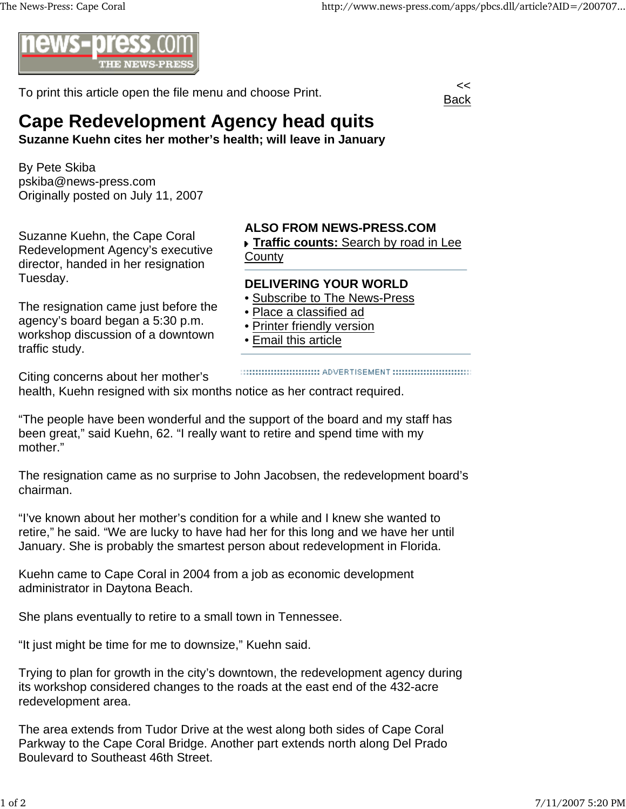

To print this article open the file menu and choose Print.



## **Cape Redevelopment Agency head quits**

**Suzanne Kuehn cites her mother's health; will leave in January**

By Pete Skiba pskiba@news-press.com Originally posted on July 11, 2007

Suzanne Kuehn, the Cape Coral Redevelopment Agency's executive director, handed in her resignation Tuesday.

The resignation came just before the agency's board began a 5:30 p.m. workshop discussion of a downtown traffic study.

## **ALSO FROM NEWS-PRESS.COM**

**Traffic counts:** Search by road in Lee **County** 

## **DELIVERING YOUR WORLD**

- Subscribe to The News-Press
- Place a classified ad
- Printer friendly version
- Email this article

Citing concerns about her mother's

health, Kuehn resigned with six months notice as her contract required.

"The people have been wonderful and the support of the board and my staff has been great," said Kuehn, 62. "I really want to retire and spend time with my mother."

The resignation came as no surprise to John Jacobsen, the redevelopment board's chairman.

"I've known about her mother's condition for a while and I knew she wanted to retire," he said. "We are lucky to have had her for this long and we have her until January. She is probably the smartest person about redevelopment in Florida.

Kuehn came to Cape Coral in 2004 from a job as economic development administrator in Daytona Beach.

She plans eventually to retire to a small town in Tennessee.

"It just might be time for me to downsize," Kuehn said.

Trying to plan for growth in the city's downtown, the redevelopment agency during its workshop considered changes to the roads at the east end of the 432-acre redevelopment area.

The area extends from Tudor Drive at the west along both sides of Cape Coral Parkway to the Cape Coral Bridge. Another part extends north along Del Prado Boulevard to Southeast 46th Street.